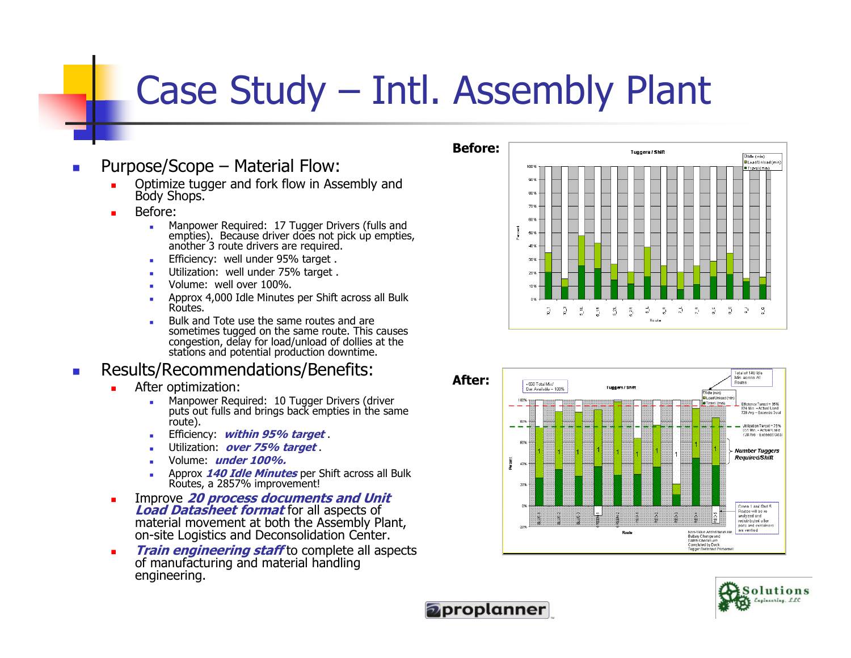## Case Study – Intl. Assembly Plant

- Purpose/Scope Material Flow:
	- Г Optimize tugger and fork flow in Assembly and Body Shops.
	- Г
		- Before:<br>• Manpower Required: 17 Tugger Drivers (fulls and a. empties). Because driver does not pick up empties, another 3 route drivers are required.
			- Efficiency: well under 95% target .
			- Utilization: well under 75% target.
			- Volume: well over 100%.
			- Approx 4,000 Idle Minutes per Shift across all Bulk Routes.
			- Bulk and Tote use the same routes and are ■ sometimes tugged on the same route. This causes congestion, delay for load/unload of dollies at the stations and potential production downtime.

#### $\overline{\phantom{a}}$ Results/Recommendations/Benefits:

- ш
	- After optimization:<br>• Manpower Required: 10 Tugger Drivers (driver a. puts out fulls and brings back empties in the same route).
		- Efficiency: *within 95% target* ■
		- Utilization: *over 75% target* .
		- Volume: under 100%.
		- Approx  $\frac{140 \text{ Idle}$  Minutes per Shift across all Bulk and Device and  $\frac{29570}{2}$  improvement Routes, a 2857% improvement!
- $\blacksquare$ Improve 20 process documents and Unit<br> **Load Datasheet format** for all aspects of material movement at both the Assembly Plant, on-site Logistics and Deconsolidation Center.
- **Train engineering staff** to complete all aspects of manufacturing and material handling  $\blacksquare$ engineering.







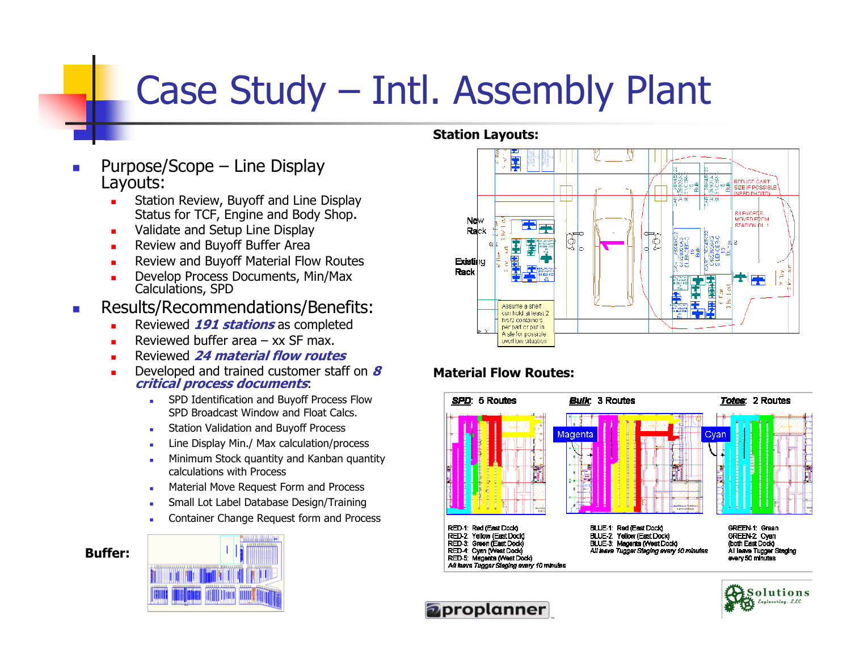# Case Study – Intl. Assembly Plant

- Purpose/Scope Line Display Layouts:
	- **Station Review, Buyoff and Line Display** ∟ Status for TCF, Engine and Body Shop.
	- $\blacksquare$ Validate and Setup Line Display
	- **Review and Buyoff Buffer Area**  $\blacksquare$
	- **Review and Buyoff Material Flow Routes** ш
	- Г Develop Process Documents, Min/Max Calculations, SPD
- **Results/Recommendations/Benefits:**  $\overline{\phantom{a}}$ 
	- Г Reviewed 191 stations as completed
	- ш
	- **Reviewed buffer area xx SF max.<br>Reviewed 24 material flow routes** Г
	- Developed and trained customer staff on 8<br>*critical process documents*: Г
		- a. SPD Identification and Buyoff Process Flow SPD Broadcast Window and Float Calcs.
		- Station Validation and Buyoff Process
		- Line Display Min./ Max calculation/process ■
		- **Minimum Stock quantity and Kanban quantity**  $\mathbf{r}$ calculations with Process
		- Material Move Request Form and Process
		- Small Lot Label Database Design/Training
		- **Container Change Request form and Process** ■

#### Buffer:



### Station Layouts:



### Material Flow Routes: